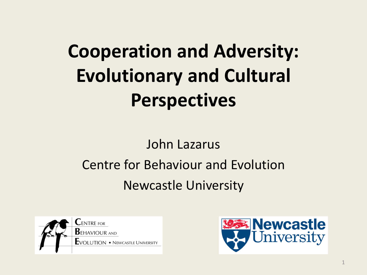# **Cooperation and Adversity: Evolutionary and Cultural Perspectives**

#### John Lazarus Centre for Behaviour and Evolution Newcastle University



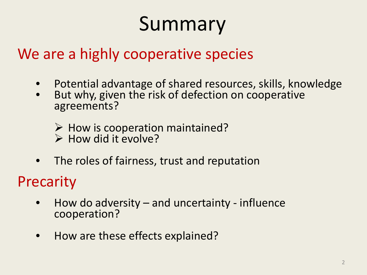# Summary

#### We are a highly cooperative species

- Potential advantage of shared resources, skills, knowledge
- But why, given the risk of defection on cooperative agreements?
	- $\triangleright$  How is cooperation maintained?<br>  $\triangleright$  How did it evolve?
	-
- The roles of fairness, trust and reputation

#### Precarity

- How do adversity and uncertainty influence cooperation?
- How are these effects explained?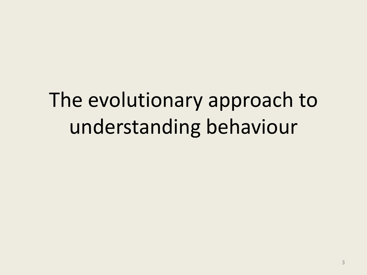# The evolutionary approach to understanding behaviour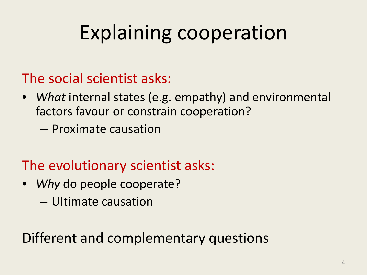# Explaining cooperation

The social scientist asks:

- *What* internal states (e.g. empathy) and environmental factors favour or constrain cooperation?
	- Proximate causation
- The evolutionary scientist asks:
- *Why* do people cooperate?
	- Ultimate causation

Different and complementary questions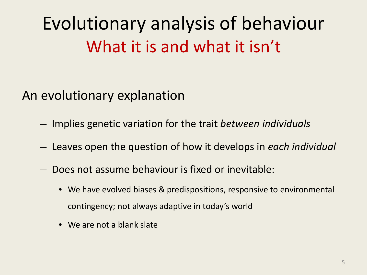# Evolutionary analysis of behaviour What it is and what it isn't

#### An evolutionary explanation

- Implies genetic variation for the trait *between individuals*
- Leaves open the question of how it develops in *each individual*
- Does not assume behaviour is fixed or inevitable:
	- We have evolved biases & predispositions, responsive to environmental contingency; not always adaptive in today's world
	- We are not a blank slate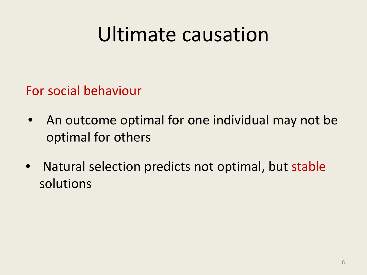# Ultimate causation

For social behaviour

- An outcome optimal for one individual may not be optimal for others
- Natural selection predicts not optimal, but stable solutions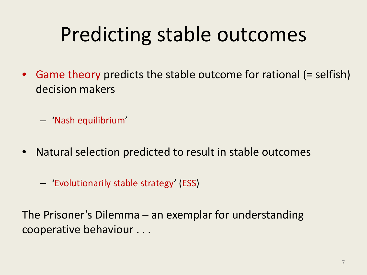# Predicting stable outcomes

• Game theory predicts the stable outcome for rational (= selfish) decision makers

– 'Nash equilibrium'

- Natural selection predicted to result in stable outcomes
	- 'Evolutionarily stable strategy' (ESS)

The Prisoner's Dilemma – an exemplar for understanding cooperative behaviour . . .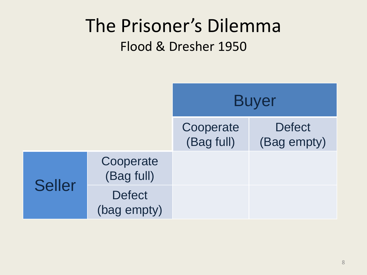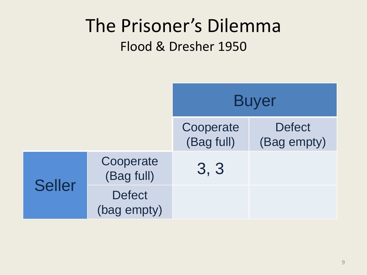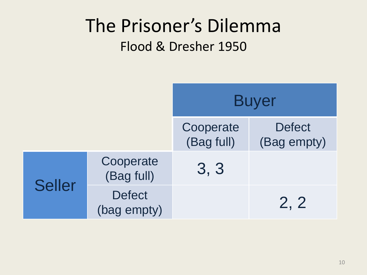|               |                              | <b>Buyer</b>            |                              |
|---------------|------------------------------|-------------------------|------------------------------|
|               |                              | Cooperate<br>(Bag full) | <b>Defect</b><br>(Bag empty) |
|               | Cooperate<br>(Bag full)      | 3, 3                    |                              |
| <b>Seller</b> | <b>Defect</b><br>(bag empty) |                         | 2, 2                         |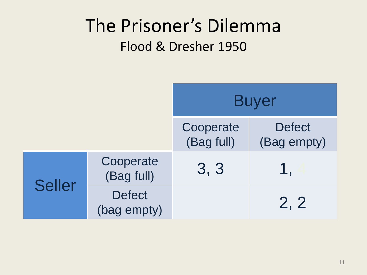|               |                              | <b>Buyer</b>            |                              |
|---------------|------------------------------|-------------------------|------------------------------|
|               |                              | Cooperate<br>(Bag full) | <b>Defect</b><br>(Bag empty) |
|               | Cooperate<br>(Bag full)      | 3, 3                    | 1.                           |
| <b>Seller</b> | <b>Defect</b><br>(bag empty) |                         | 2, 2                         |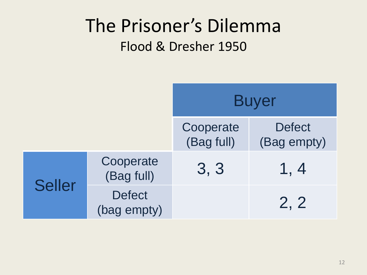|               |                              | <b>Buyer</b>            |                              |
|---------------|------------------------------|-------------------------|------------------------------|
|               |                              | Cooperate<br>(Bag full) | <b>Defect</b><br>(Bag empty) |
|               | Cooperate<br>(Bag full)      | 3, 3                    | 1, 4                         |
| <b>Seller</b> | <b>Defect</b><br>(bag empty) |                         | 2, 2                         |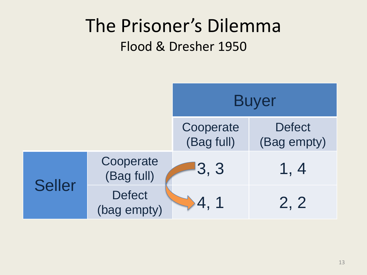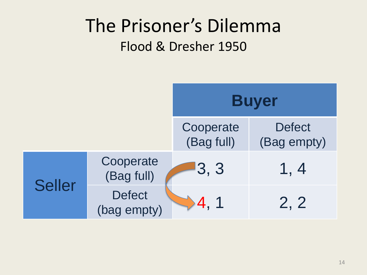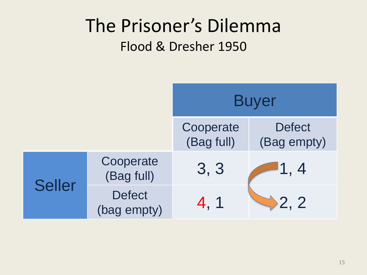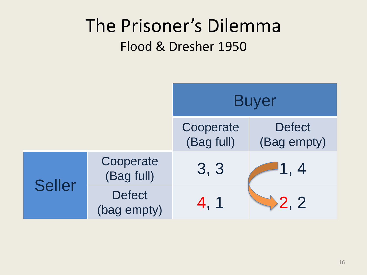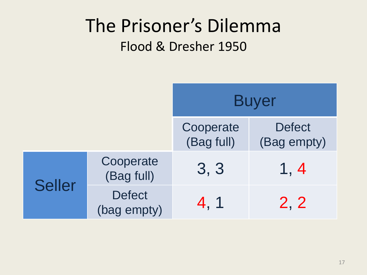|               |                              | <b>Buyer</b>            |                              |
|---------------|------------------------------|-------------------------|------------------------------|
|               |                              | Cooperate<br>(Bag full) | <b>Defect</b><br>(Bag empty) |
|               | Cooperate<br>(Bag full)      | 3, 3<br>4, 1            | 1, 4                         |
| <b>Seller</b> | <b>Defect</b><br>(bag empty) |                         | 2, 2                         |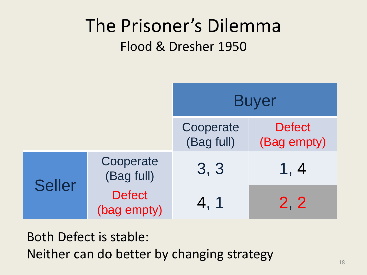|               |                              | <b>Buyer</b>            |                              |
|---------------|------------------------------|-------------------------|------------------------------|
|               |                              | Cooperate<br>(Bag full) | <b>Defect</b><br>(Bag empty) |
|               | Cooperate<br>(Bag full)      | 3, 3                    | 1, 4                         |
| <b>Seller</b> | <b>Defect</b><br>(bag empty) | 4, 1                    | 2, 2                         |

Both Defect is stable: Neither can do better by changing strategy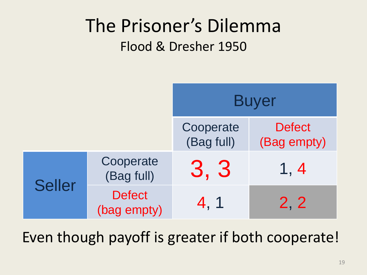

Even though payoff is greater if both cooperate!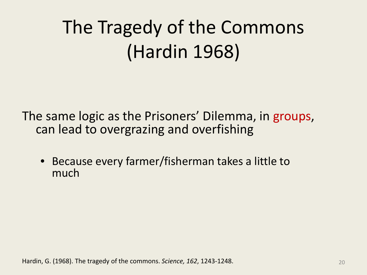# The Tragedy of the Commons (Hardin 1968)

The same logic as the Prisoners' Dilemma, in groups, can lead to overgrazing and overfishing

• Because every farmer/fisherman takes a little to much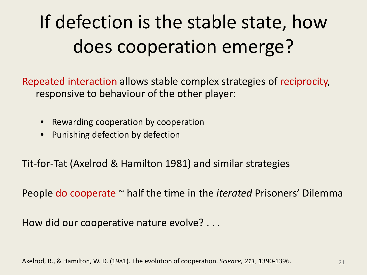# If defection is the stable state, how does cooperation emerge?

Repeated interaction allows stable complex strategies of reciprocity, responsive to behaviour of the other player:

- Rewarding cooperation by cooperation
- Punishing defection by defection

Tit-for-Tat (Axelrod & Hamilton 1981) and similar strategies

People do cooperate ~ half the time in the *iterated* Prisoners' Dilemma

How did our cooperative nature evolve? . . .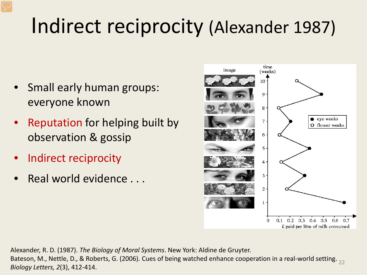# Indirect reciprocity (Alexander 1987)

- Small early human groups: everyone known
- Reputation for helping built by observation & gossip
- Indirect reciprocity
- Real world evidence . . .



22 Bateson, M., Nettle, D., & Roberts, G. (2006). Cues of being watched enhance cooperation in a real-world setting. Alexander, R. D. (1987). *The Biology of Moral Systems*. New York: Aldine de Gruyter. *Biology Letters, 2*(3), 412-414.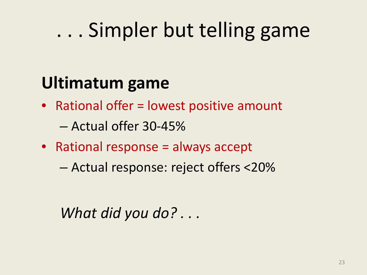# . . . Simpler but telling game

### **Ultimatum game**

• Rational offer = lowest positive amount

– Actual offer 30-45%

- Rational response = always accept
	- Actual response: reject offers <20%

*What did you do? . . .*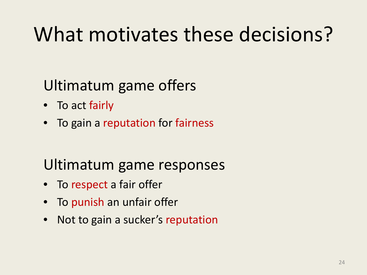# What motivates these decisions?

#### Ultimatum game offers

- To act fairly
- To gain a reputation for fairness

#### Ultimatum game responses

- To respect a fair offer
- To punish an unfair offer
- Not to gain a sucker's reputation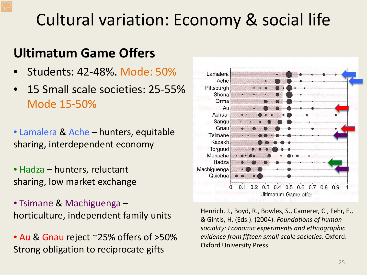### Cultural variation: Economy & social life

#### **Ultimatum Game Offers**

- Students: 42-48%. Mode: 50%
- 15 Small scale societies: 25-55% Mode 15-50%
- Lamalera & Ache hunters, equitable sharing, interdependent economy
- Hadza hunters, reluctant sharing, low market exchange
- Tsimane & Machiguenga horticulture, independent family units
- Au & Gnau reject ~25% offers of >50% Strong obligation to reciprocate gifts



Henrich, J., Boyd, R., Bowles, S., Camerer, C., Fehr, E., & Gintis, H. (Eds.). (2004). *Foundations of human sociality: Economic experiments and ethnographic evidence from fifteen small-scale societies*. Oxford: Oxford University Press.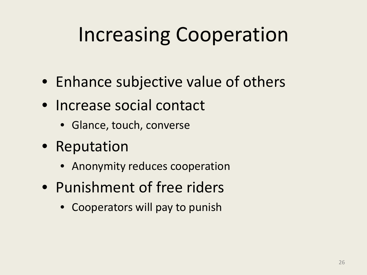# Increasing Cooperation

- Enhance subjective value of others
- Increase social contact
	- Glance, touch, converse
- Reputation
	- Anonymity reduces cooperation
- Punishment of free riders
	- Cooperators will pay to punish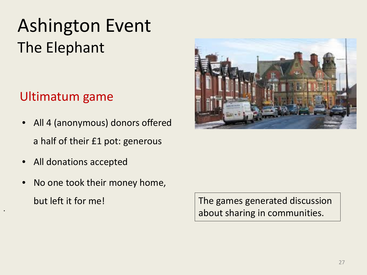### Ashington Event The Elephant

#### Ultimatum game

- All 4 (anonymous) donors offered a half of their £1 pot: generous
- All donations accepted

•

• No one took their money home, but left it for me!



The games generated discussion about sharing in communities.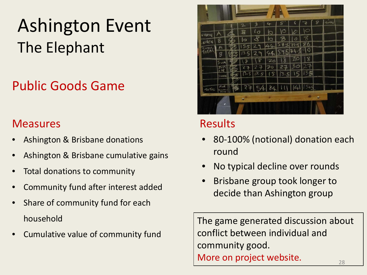### Ashington Event The Elephant

#### Public Goods Game

#### **Measures**

- Ashington & Brisbane donations
- Ashington & Brisbane cumulative gains
- Total donations to community
- Community fund after interest added
- Share of community fund for each household
- Cumulative value of community fund



#### Results

- 80-100% (notional) donation each round
- No typical decline over rounds
- Brisbane group took longer to decide than Ashington group

28 The game generated discussion about conflict between individual and community good. More on project website.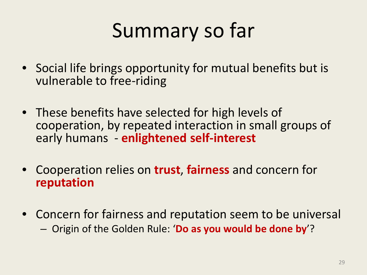# Summary so far

- Social life brings opportunity for mutual benefits but is vulnerable to free-riding
- These benefits have selected for high levels of cooperation, by repeated interaction in small groups of early humans - **enlightened self-interest**
- Cooperation relies on **trust**, **fairness** and concern for **reputation**
- Concern for fairness and reputation seem to be universal – Origin of the Golden Rule: '**Do as you would be done by**'?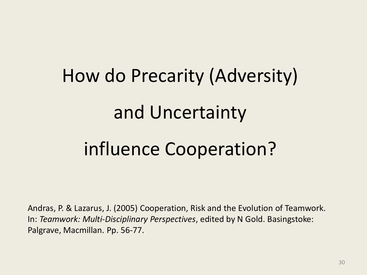# How do Precarity (Adversity) and Uncertainty influence Cooperation?

Andras, P. & Lazarus, J. (2005) Cooperation, Risk and the Evolution of Teamwork. In: *Teamwork: Multi-Disciplinary Perspectives*, edited by N Gold. Basingstoke: Palgrave, Macmillan. Pp. 56-77.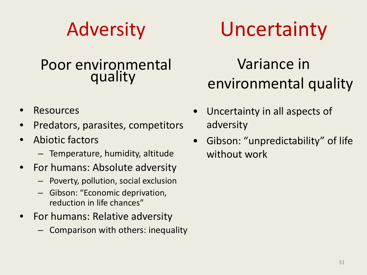### Adversity

#### Poor environmental quality

- **Resources**
- Predators, parasites, competitors
- Abiotic factors
	- Temperature, humidity, altitude
- For humans: Absolute adversity
	- Poverty, pollution, social exclusion
	- Gibson: "Economic deprivation, reduction in life chances"
- For humans: Relative adversity
	- Comparison with others: inequality

# Uncertainty

#### Variance in environmental quality

- Uncertainty in all aspects of adversity
- Gibson: "unpredictability" of life without work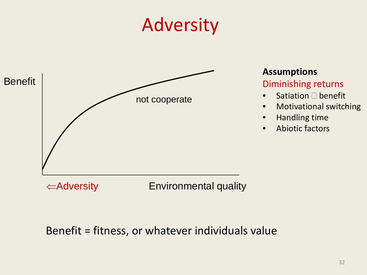### Adversity



#### **Assumptions**

#### Diminishing returns

- Satiation  $\Box$  benefit
- Motivational switching
- Handling time
- Abiotic factors

⇐Adversity Environmental quality

Benefit = fitness, or whatever individuals value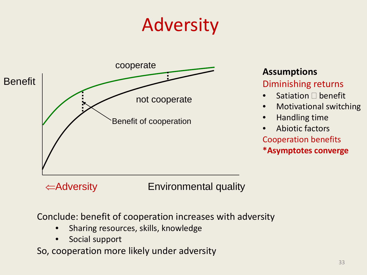# Adversity



#### **Assumptions**

#### Diminishing returns

- Satiation  $\Box$  benefit
- Motivational switching
- Handling time
- Abiotic factors Cooperation benefits
- **\*Asymptotes converge**

#### ⇐Adversity Environmental quality

Conclude: benefit of cooperation increases with adversity

- Sharing resources, skills, knowledge
- Social support

So, cooperation more likely under adversity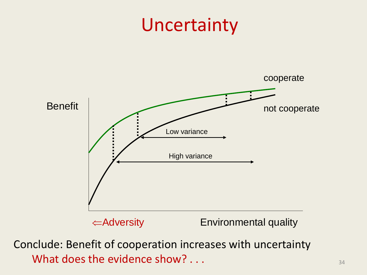### Uncertainty



Conclude: Benefit of cooperation increases with uncertainty What does the evidence show?  $\ldots$  .  $\ldots$  .  $\ldots$  .  $\ldots$  .  $\ldots$  .  $\ldots$  .  $\ldots$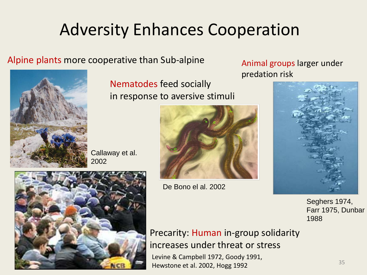### Adversity Enhances Cooperation

#### Alpine plants more cooperative than Sub-alpine



Nematodes feed socially in response to aversive stimuli

Callaway et al. 2002



De Bono el al. 2002

Animal groups larger under predation risk



Seghers 1974, Farr 1975, Dunbar 1988

Precarity: Human in-group solidarity increases under threat or stress Levine & Campbell 1972, Goody 1991, Hewstone et al. 2002, Hogg 1992

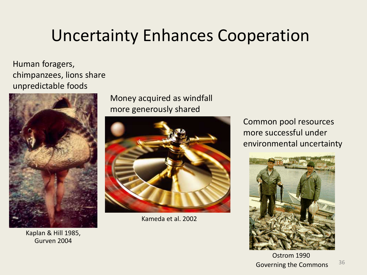### Uncertainty Enhances Cooperation

Human foragers, chimpanzees, lions share unpredictable foods



Kaplan & Hill 1985, Gurven 2004

Money acquired as windfall more generously shared



Kameda et al. 2002

Common pool resources more successful under environmental uncertainty



Ostrom 1990 Governing the Commons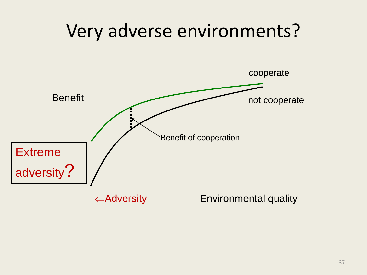# Very adverse environments? cooperate not cooperate ⇐Adversity Environmental quality Benefit Benefit of cooperation **Extreme** adversity?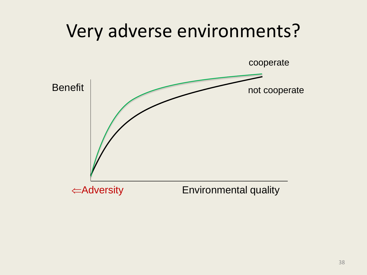# Very adverse environments?

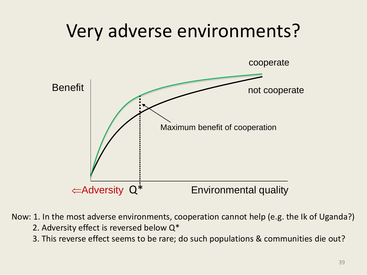

Now: 1. In the most adverse environments, cooperation cannot help (e.g. the Ik of Uganda?)

- 2. Adversity effect is reversed below Q\*
- 3. This reverse effect seems to be rare; do such populations & communities die out?